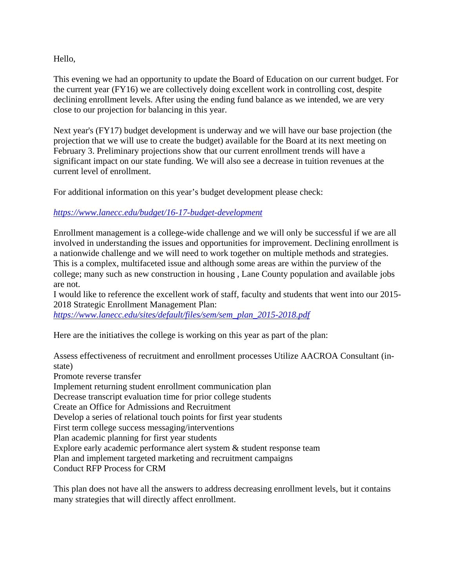Hello,

This evening we had an opportunity to update the Board of Education on our current budget. For the current year (FY16) we are collectively doing excellent work in controlling cost, despite declining enrollment levels. After using the ending fund balance as we intended, we are very close to our projection for balancing in this year.

Next year's (FY17) budget development is underway and we will have our base projection (the projection that we will use to create the budget) available for the Board at its next meeting on February 3. Preliminary projections show that our current enrollment trends will have a significant impact on our state funding. We will also see a decrease in tuition revenues at the current level of enrollment.

For additional information on this year's budget development please check:

## *<https://www.lanecc.edu/budget/16-17-budget-development>*

Enrollment management is a college-wide challenge and we will only be successful if we are all involved in understanding the issues and opportunities for improvement. Declining enrollment is a nationwide challenge and we will need to work together on multiple methods and strategies. This is a complex, multifaceted issue and although some areas are within the purview of the college; many such as new construction in housing , Lane County population and available jobs are not.

I would like to reference the excellent work of staff, faculty and students that went into our 2015- 2018 Strategic Enrollment Management Plan:

*[https://www.lanecc.edu/sites/default/files/sem/sem\\_plan\\_2015-2018.pdf](https://www.lanecc.edu/sites/default/files/sem/sem_plan_2015-2018.pdf)*

Here are the initiatives the college is working on this year as part of the plan:

Assess effectiveness of recruitment and enrollment processes Utilize AACROA Consultant (instate)

Promote reverse transfer

Implement returning student enrollment communication plan

Decrease transcript evaluation time for prior college students

Create an Office for Admissions and Recruitment

Develop a series of relational touch points for first year students

First term college success messaging/interventions

Plan academic planning for first year students

Explore early academic performance alert system & student response team

Plan and implement targeted marketing and recruitment campaigns

Conduct RFP Process for CRM

This plan does not have all the answers to address decreasing enrollment levels, but it contains many strategies that will directly affect enrollment.